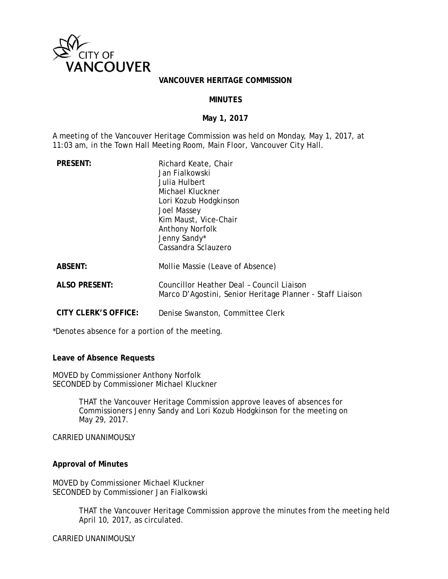

### **VANCOUVER HERITAGE COMMISSION**

### **MINUTES**

### **May 1, 2017**

A meeting of the Vancouver Heritage Commission was held on Monday, May 1, 2017, at 11:03 am, in the Town Hall Meeting Room, Main Floor, Vancouver City Hall.

| <b>PRESENT:</b>      | Richard Keate, Chair<br>Jan Fialkowski<br>Julia Hulbert<br>Michael Kluckner<br>Lori Kozub Hodgkinson<br>Joel Massey<br>Kim Maust, Vice-Chair<br><b>Anthony Norfolk</b><br>Jenny Sandy*<br>Cassandra Sclauzero |
|----------------------|---------------------------------------------------------------------------------------------------------------------------------------------------------------------------------------------------------------|
| <b>ABSENT:</b>       | Mollie Massie (Leave of Absence)                                                                                                                                                                              |
| <b>ALSO PRESENT:</b> | Councillor Heather Deal - Council Liaison<br>Marco D'Agostini, Senior Heritage Planner - Staff Liaison                                                                                                        |
| CITY CLERK'S OFFICE: | Denise Swanston, Committee Clerk                                                                                                                                                                              |

\*Denotes absence for a portion of the meeting.

**Leave of Absence Requests** 

MOVED by Commissioner Anthony Norfolk SECONDED by Commissioner Michael Kluckner

> THAT the Vancouver Heritage Commission approve leaves of absences for Commissioners Jenny Sandy and Lori Kozub Hodgkinson for the meeting on May 29, 2017.

CARRIED UNANIMOUSLY

### **Approval of Minutes**

MOVED by Commissioner Michael Kluckner SECONDED by Commissioner Jan Fialkowski

> THAT the Vancouver Heritage Commission approve the minutes from the meeting held April 10, 2017, as circulated.

CARRIED UNANIMOUSLY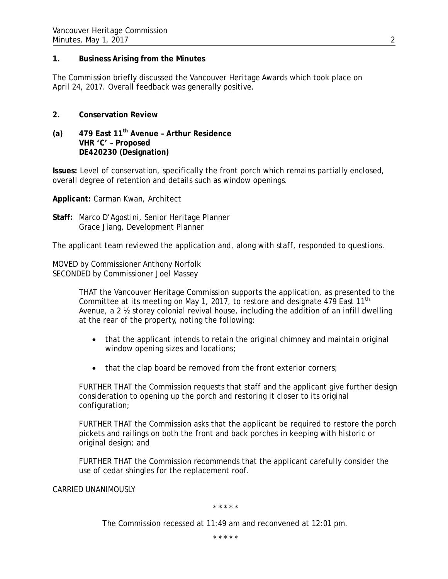## **1. Business Arising from the Minutes**

The Commission briefly discussed the Vancouver Heritage Awards which took place on April 24, 2017. Overall feedback was generally positive.

## **2. Conservation Review**

**(a) 479 East 11th Avenue – Arthur Residence VHR 'C' – Proposed DE420230 (Designation)**

**Issues:** Level of conservation, specifically the front porch which remains partially enclosed, overall degree of retention and details such as window openings.

**Applicant:** Carman Kwan, Architect

**Staff:** Marco D'Agostini, Senior Heritage Planner Grace Jiang, Development Planner

The applicant team reviewed the application and, along with staff, responded to questions.

MOVED by Commissioner Anthony Norfolk SECONDED by Commissioner Joel Massey

> THAT the Vancouver Heritage Commission supports the application, as presented to the Committee at its meeting on May 1, 2017, to restore and designate 479 East 11<sup>th</sup> Avenue, a 2 ½ storey colonial revival house, including the addition of an infill dwelling at the rear of the property, noting the following:

- that the applicant intends to retain the original chimney and maintain original window opening sizes and locations;
- that the clap board be removed from the front exterior corners;

FURTHER THAT the Commission requests that staff and the applicant give further design consideration to opening up the porch and restoring it closer to its original configuration;

FURTHER THAT the Commission asks that the applicant be required to restore the porch pickets and railings on both the front and back porches in keeping with historic or original design; and

FURTHER THAT the Commission recommends that the applicant carefully consider the use of cedar shingles for the replacement roof.

CARRIED UNANIMOUSLY

\* \* \* \* \*

The Commission recessed at 11:49 am and reconvened at 12:01 pm.

\* \* \* \* \*